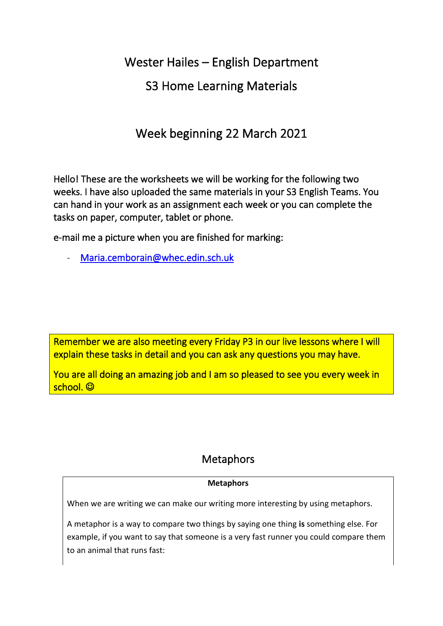Wester Hailes – English Department

# S3 Home Learning Materials

# Week beginning 22 March 2021

Hello! These are the worksheets we will be working for the following two weeks. I have also uploaded the same materials in your S3 English Teams. You can hand in your work as an assignment each week or you can complete the tasks on paper, computer, tablet or phone.

e-mail me a picture when you are finished for marking:

Maria.cemborain@whec.edin.sch.uk

Remember we are also meeting every Friday P3 in our live lessons where I will explain these tasks in detail and you can ask any questions you may have.

You are all doing an amazing job and I am so pleased to see you every week in school. ©

# **Metaphors**

#### **Metaphors**

When we are writing we can make our writing more interesting by using metaphors.

A metaphor is a way to compare two things by saying one thing **is** something else. For example, if you want to say that someone is a very fast runner you could compare them to an animal that runs fast: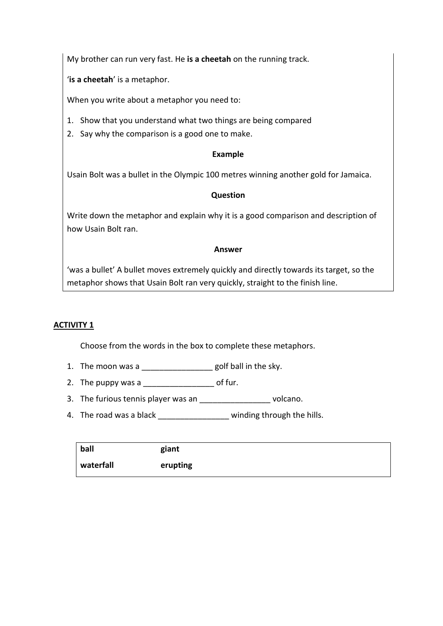My brother can run very fast. He **is a cheetah** on the running track.

'**is a cheetah**' is a metaphor.

When you write about a metaphor you need to:

- 1. Show that you understand what two things are being compared
- 2. Say why the comparison is a good one to make.

#### **Example**

Usain Bolt was a bullet in the Olympic 100 metres winning another gold for Jamaica.

#### **Question**

Write down the metaphor and explain why it is a good comparison and description of how Usain Bolt ran.

#### **Answer**

'was a bullet' A bullet moves extremely quickly and directly towards its target, so the metaphor shows that Usain Bolt ran very quickly, straight to the finish line.

#### **ACTIVITY 1**

Choose from the words in the box to complete these metaphors.

- 1. The moon was a set of the sky.
- 2. The puppy was a \_\_\_\_\_\_\_\_\_\_\_\_\_\_\_\_\_\_\_\_\_\_ of fur.
- 3. The furious tennis player was an \_\_\_\_\_\_\_\_\_\_\_\_\_\_\_\_\_\_\_\_ volcano.
- 4. The road was a black \_\_\_\_\_\_\_\_\_\_\_\_\_\_\_\_\_ winding through the hills.

| ball      | giant    |
|-----------|----------|
| waterfall | erupting |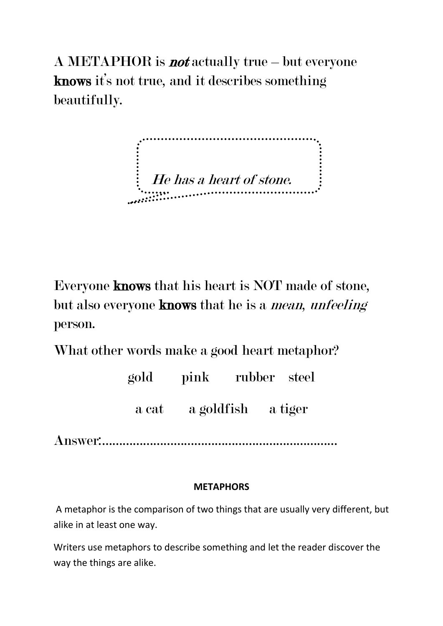A METAPHOR is **not** actually true – but everyone knows it's not true, and it describes something beautifully.

 $\frac{1}{2}$  He has a heart of stone.

Everyone knows that his heart is NOT made of stone, but also everyone **knows** that he is a *mean*, *unfeeling* person.

What other words make a good heart metaphor?

| gold  | pink       | rubber steel |         |
|-------|------------|--------------|---------|
| a cat | a goldfish |              | a tiger |

Answer:……………………………………………………………

### **METAPHORS**

A metaphor is the comparison of two things that are usually very different, but alike in at least one way.

Writers use metaphors to describe something and let the reader discover the way the things are alike.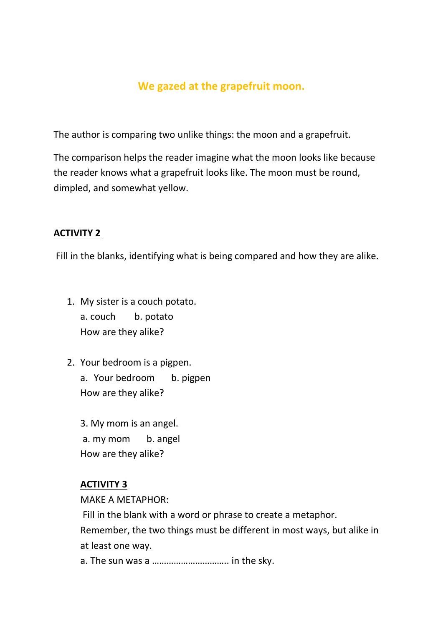## **We gazed at the grapefruit moon.**

The author is comparing two unlike things: the moon and a grapefruit.

The comparison helps the reader imagine what the moon looks like because the reader knows what a grapefruit looks like. The moon must be round, dimpled, and somewhat yellow.

#### **ACTIVITY 2**

Fill in the blanks, identifying what is being compared and how they are alike.

- 1. My sister is a couch potato. a. couch b. potato How are they alike?
- 2. Your bedroom is a pigpen. a. Your bedroom b. pigpen How are they alike?

3. My mom is an angel. a. my mom b. angel How are they alike?

#### **ACTIVITY 3**

MAKE A METAPHOR:

Fill in the blank with a word or phrase to create a metaphor.

Remember, the two things must be different in most ways, but alike in at least one way.

a. The sun was a ………………………….. in the sky.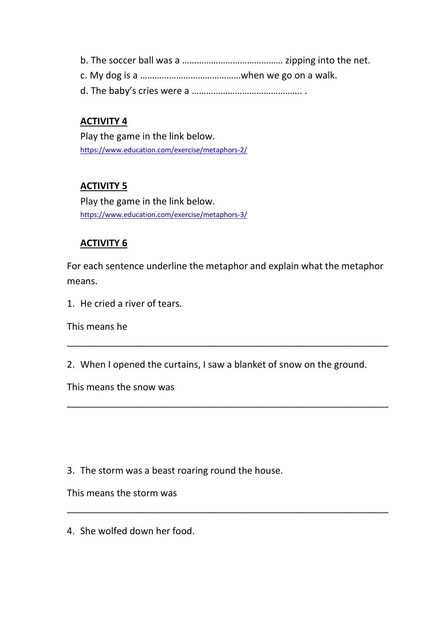b. The soccer ball was a …………………………………… zipping into the net. c. My dog is a ……………………………………when we go on a walk. d. The baby's cries were a ………………………………………. .

## **ACTIVITY 4**

Play the game in the link below. <https://www.education.com/exercise/metaphors-2/>

### **ACTIVITY 5**

Play the game in the link below. <https://www.education.com/exercise/metaphors-3/>

### **ACTIVITY 6**

For each sentence underline the metaphor and explain what the metaphor means.

1. He cried a river of tears.

This means he

2. When I opened the curtains, I saw a blanket of snow on the ground.

\_\_\_\_\_\_\_\_\_\_\_\_\_\_\_\_\_\_\_\_\_\_\_\_\_\_\_\_\_\_\_\_\_\_\_\_\_\_\_\_\_\_\_\_\_\_\_\_\_\_\_\_\_\_\_\_\_\_\_\_\_\_

\_\_\_\_\_\_\_\_\_\_\_\_\_\_\_\_\_\_\_\_\_\_\_\_\_\_\_\_\_\_\_\_\_\_\_\_\_\_\_\_\_\_\_\_\_\_\_\_\_\_\_\_\_\_\_\_\_\_\_\_\_\_

\_\_\_\_\_\_\_\_\_\_\_\_\_\_\_\_\_\_\_\_\_\_\_\_\_\_\_\_\_\_\_\_\_\_\_\_\_\_\_\_\_\_\_\_\_\_\_\_\_\_\_\_\_\_\_\_\_\_\_\_\_\_

This means the snow was

3. The storm was a beast roaring round the house.

This means the storm was

4. She wolfed down her food.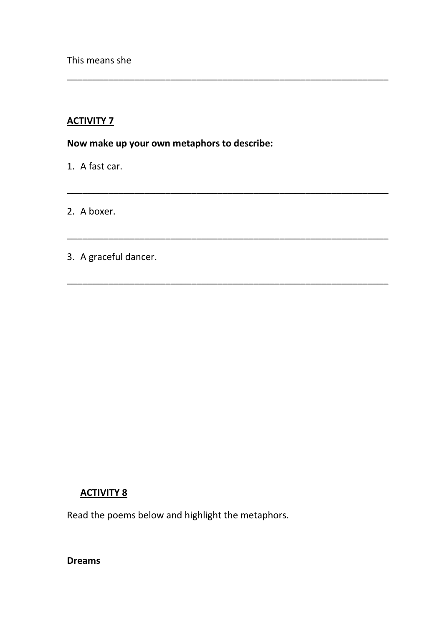This means she

### **ACTIVITY 7**

**Now make up your own metaphors to describe:**

\_\_\_\_\_\_\_\_\_\_\_\_\_\_\_\_\_\_\_\_\_\_\_\_\_\_\_\_\_\_\_\_\_\_\_\_\_\_\_\_\_\_\_\_\_\_\_\_\_\_\_\_\_\_\_\_\_\_\_\_\_\_

\_\_\_\_\_\_\_\_\_\_\_\_\_\_\_\_\_\_\_\_\_\_\_\_\_\_\_\_\_\_\_\_\_\_\_\_\_\_\_\_\_\_\_\_\_\_\_\_\_\_\_\_\_\_\_\_\_\_\_\_\_\_

\_\_\_\_\_\_\_\_\_\_\_\_\_\_\_\_\_\_\_\_\_\_\_\_\_\_\_\_\_\_\_\_\_\_\_\_\_\_\_\_\_\_\_\_\_\_\_\_\_\_\_\_\_\_\_\_\_\_\_\_\_\_

\_\_\_\_\_\_\_\_\_\_\_\_\_\_\_\_\_\_\_\_\_\_\_\_\_\_\_\_\_\_\_\_\_\_\_\_\_\_\_\_\_\_\_\_\_\_\_\_\_\_\_\_\_\_\_\_\_\_\_\_\_\_

1. A fast car.

2. A boxer.

3. A graceful dancer.

#### **ACTIVITY 8**

Read the poems below and highlight the metaphors.

**Dreams**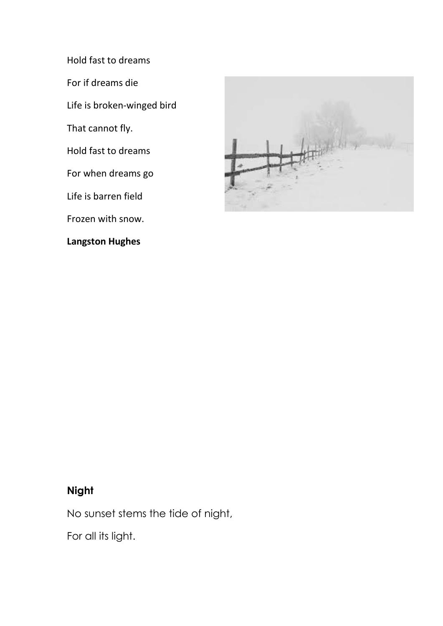Hold fast to dreams

For if dreams die

Life is broken-winged bird

That cannot fly.

Hold fast to dreams

For when dreams go

Life is barren field

Frozen with snow.

### **Langston Hughes**



## **Night**

No sunset stems the tide of night,

For all its light.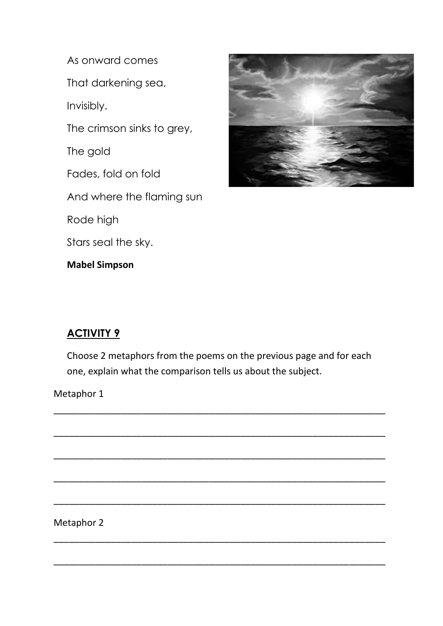As onward comes

That darkening sea,

Invisibly.

The crimson sinks to grey,

The gold

Fades, fold on fold

And where the flaming sun

Rode high

Stars seal the sky.

**Mabel Simpson**



## **ACTIVITY 9**

Choose 2 metaphors from the poems on the previous page and for each one, explain what the comparison tells us about the subject.

\_\_\_\_\_\_\_\_\_\_\_\_\_\_\_\_\_\_\_\_\_\_\_\_\_\_\_\_\_\_\_\_\_\_\_\_\_\_\_\_\_\_\_\_\_\_\_\_\_\_\_\_\_\_\_\_\_\_\_\_\_\_\_\_

\_\_\_\_\_\_\_\_\_\_\_\_\_\_\_\_\_\_\_\_\_\_\_\_\_\_\_\_\_\_\_\_\_\_\_\_\_\_\_\_\_\_\_\_\_\_\_\_\_\_\_\_\_\_\_\_\_\_\_\_\_\_\_\_

\_\_\_\_\_\_\_\_\_\_\_\_\_\_\_\_\_\_\_\_\_\_\_\_\_\_\_\_\_\_\_\_\_\_\_\_\_\_\_\_\_\_\_\_\_\_\_\_\_\_\_\_\_\_\_\_\_\_\_\_\_\_\_\_

\_\_\_\_\_\_\_\_\_\_\_\_\_\_\_\_\_\_\_\_\_\_\_\_\_\_\_\_\_\_\_\_\_\_\_\_\_\_\_\_\_\_\_\_\_\_\_\_\_\_\_\_\_\_\_\_\_\_\_\_\_\_\_\_

\_\_\_\_\_\_\_\_\_\_\_\_\_\_\_\_\_\_\_\_\_\_\_\_\_\_\_\_\_\_\_\_\_\_\_\_\_\_\_\_\_\_\_\_\_\_\_\_\_\_\_\_\_\_\_\_\_\_\_\_\_\_\_\_

\_\_\_\_\_\_\_\_\_\_\_\_\_\_\_\_\_\_\_\_\_\_\_\_\_\_\_\_\_\_\_\_\_\_\_\_\_\_\_\_\_\_\_\_\_\_\_\_\_\_\_\_\_\_\_\_\_\_\_\_\_\_\_\_

\_\_\_\_\_\_\_\_\_\_\_\_\_\_\_\_\_\_\_\_\_\_\_\_\_\_\_\_\_\_\_\_\_\_\_\_\_\_\_\_\_\_\_\_\_\_\_\_\_\_\_\_\_\_\_\_\_\_\_\_\_\_\_\_

Metaphor 1

Metaphor 2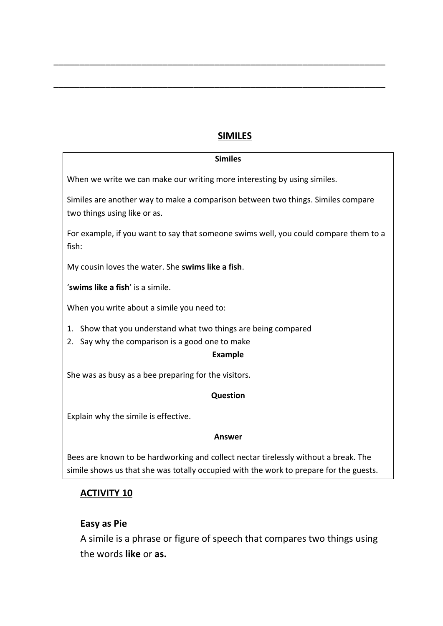### **SIMILES**

\_\_\_\_\_\_\_\_\_\_\_\_\_\_\_\_\_\_\_\_\_\_\_\_\_\_\_\_\_\_\_\_\_\_\_\_\_\_\_\_\_\_\_\_\_\_\_\_\_\_\_\_\_\_\_\_\_\_\_\_\_\_\_\_

\_\_\_\_\_\_\_\_\_\_\_\_\_\_\_\_\_\_\_\_\_\_\_\_\_\_\_\_\_\_\_\_\_\_\_\_\_\_\_\_\_\_\_\_\_\_\_\_\_\_\_\_\_\_\_\_\_\_\_\_\_\_\_\_

| <b>Similes</b>                                                                                                   |
|------------------------------------------------------------------------------------------------------------------|
| When we write we can make our writing more interesting by using similes.                                         |
| Similes are another way to make a comparison between two things. Similes compare<br>two things using like or as. |
| For example, if you want to say that someone swims well, you could compare them to a<br>fish:                    |
| My cousin loves the water. She swims like a fish.                                                                |
| 'swims like a fish' is a simile.                                                                                 |
| When you write about a simile you need to:                                                                       |
| 1. Show that you understand what two things are being compared                                                   |
| 2. Say why the comparison is a good one to make                                                                  |
| <b>Example</b>                                                                                                   |
| She was as busy as a bee preparing for the visitors.                                                             |
| Question                                                                                                         |
| Explain why the simile is effective.                                                                             |
| Answer                                                                                                           |
|                                                                                                                  |

Bees are known to be hardworking and collect nectar tirelessly without a break. The simile shows us that she was totally occupied with the work to prepare for the guests.

## **ACTIVITY 10**

#### **Easy as Pie**

A simile is a phrase or figure of speech that compares two things using the words **like** or **as.**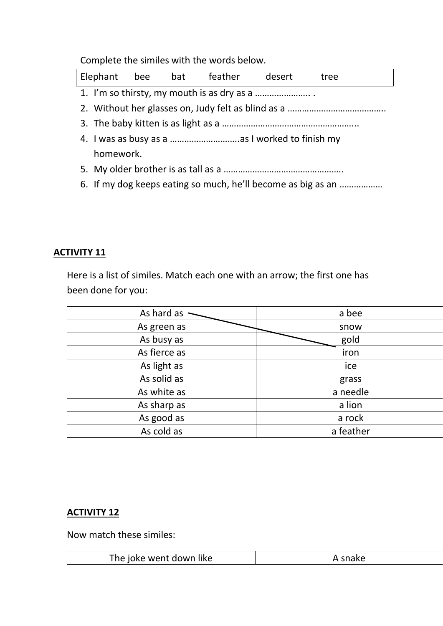Complete the similes with the words below.

|           |  |  | Elephant bee bat feather desert |  | tree                                                         |
|-----------|--|--|---------------------------------|--|--------------------------------------------------------------|
|           |  |  |                                 |  |                                                              |
|           |  |  |                                 |  |                                                              |
|           |  |  |                                 |  |                                                              |
|           |  |  |                                 |  |                                                              |
| homework. |  |  |                                 |  |                                                              |
|           |  |  |                                 |  |                                                              |
|           |  |  |                                 |  | 6. If my dog keeps eating so much, he'll become as big as an |

## **ACTIVITY 11**

Here is a list of similes. Match each one with an arrow; the first one has been done for you:

| As hard as   | a bee     |
|--------------|-----------|
| As green as  | snow      |
| As busy as   | gold      |
| As fierce as | iron      |
| As light as  | ice       |
| As solid as  | grass     |
| As white as  | a needle  |
| As sharp as  | a lion    |
| As good as   | a rock    |
| As cold as   | a feather |

## **ACTIVITY 12**

Now match these similes:

|  | The joke went down like | $-1$ |
|--|-------------------------|------|
|--|-------------------------|------|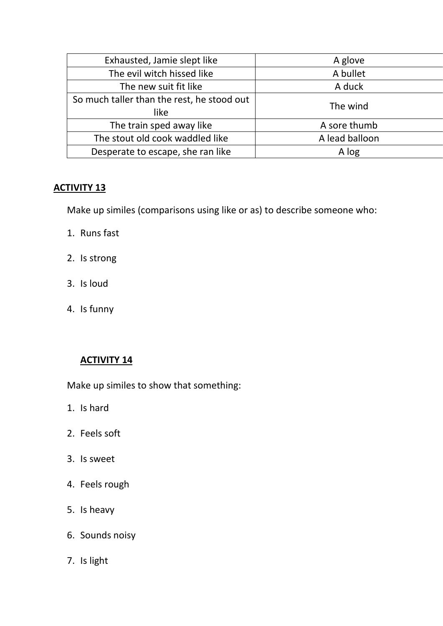| Exhausted, Jamie slept like                | A glove        |  |
|--------------------------------------------|----------------|--|
| The evil witch hissed like                 | A bullet       |  |
| The new suit fit like                      | A duck         |  |
| So much taller than the rest, he stood out | The wind       |  |
| like                                       |                |  |
| The train sped away like                   | A sore thumb   |  |
| The stout old cook waddled like            | A lead balloon |  |
| Desperate to escape, she ran like          | A log          |  |

#### **ACTIVITY 13**

Make up similes (comparisons using like or as) to describe someone who:

- 1. Runs fast
- 2. Is strong
- 3. Is loud
- 4. Is funny

#### **ACTIVITY 14**

Make up similes to show that something:

- 1. Is hard
- 2. Feels soft
- 3. Is sweet
- 4. Feels rough
- 5. Is heavy
- 6. Sounds noisy
- 7. Is light